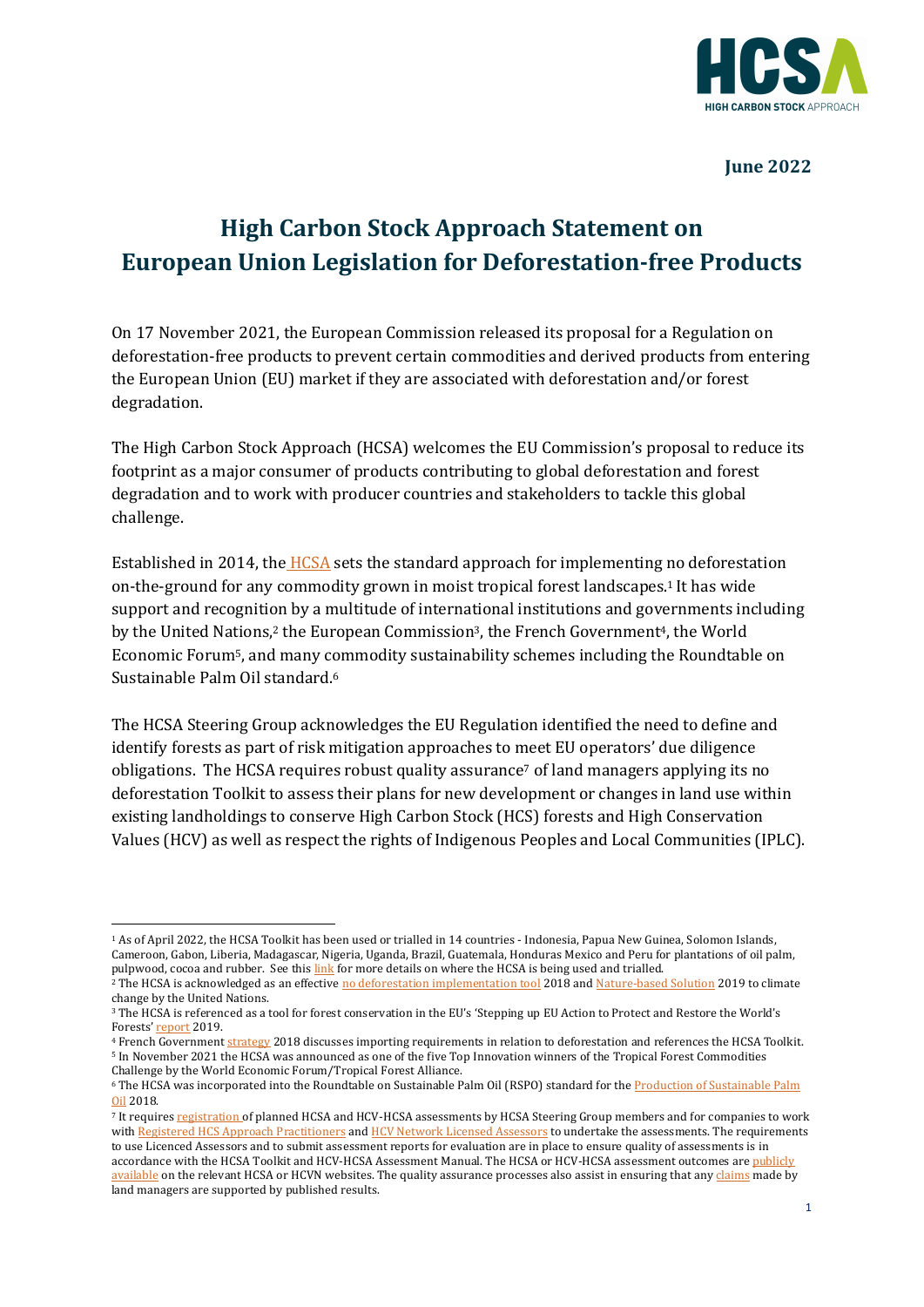

### **June 2022**

# **High Carbon Stock Approach Statement on European Union Legislation for Deforestation-free Products**

On 17 November 2021, the European Commission released its proposal for a Regulation on deforestation-free products to prevent certain commodities and derived products from entering the European Union (EU) market if they are associated with deforestation and/or forest degradation. 

The High Carbon Stock Approach (HCSA) welcomes the EU Commission's proposal to reduce its footprint as a major consumer of products contributing to global deforestation and forest degradation and to work with producer countries and stakeholders to tackle this global challenge.

Established in 2014, the  $HCSA$  sets the standard approach for implementing no deforestation on-the-ground for any commodity grown in moist tropical forest landscapes.<sup>1</sup> It has wide support and recognition by a multitude of international institutions and governments including by the United Nations,<sup>2</sup> the European Commission<sup>3</sup>, the French Government<sup>4</sup>, the World Economic Forum<sup>5</sup>, and many commodity sustainability schemes including the Roundtable on Sustainable Palm Oil standard.<sup>6</sup>

The HCSA Steering Group acknowledges the EU Regulation identified the need to define and identify forests as part of risk mitigation approaches to meet EU operators' due diligence obligations. The HCSA requires robust quality assurance<sup>7</sup> of land managers applying its no deforestation Toolkit to assess their plans for new development or changes in land use within existing landholdings to conserve High Carbon Stock (HCS) forests and High Conservation Values (HCV) as well as respect the rights of Indigenous Peoples and Local Communities (IPLC).

<sup>&</sup>lt;sup>1</sup> As of April 2022, the HCSA Toolkit has been used or trialled in 14 countries - Indonesia, Papua New Guinea, Solomon Islands, Cameroon, Gabon, Liberia, Madagascar, Nigeria, Uganda, Brazil, Guatemala, Honduras Mexico and Peru for plantations of oil palm, pulpwood, cocoa and rubber. See this link for more details on where the HCSA is being used and trialled.

<sup>&</sup>lt;sup>2</sup> The HCSA is acknowledged as an effective no deforestation implementation tool 2018 and Nature-based Solution 2019 to climate change by the United Nations.

<sup>&</sup>lt;sup>3</sup> The HCSA is referenced as a tool for forest conservation in the EU's 'Stepping up EU Action to Protect and Restore the World's Forests' report 2019.

<sup>&</sup>lt;sup>4</sup> French Government strategy 2018 discusses importing requirements in relation to deforestation and references the HCSA Toolkit. <sup>5</sup> In November 2021 the HCSA was announced as one of the five Top Innovation winners of the Tropical Forest Commodities Challenge by the World Economic Forum/Tropical Forest Alliance.

<sup>&</sup>lt;sup>6</sup> The HCSA was incorporated into the Roundtable on Sustainable Palm Oil (RSPO) standard for the Production of Sustainable Palm Oil 2018. 

<sup>7</sup> It requires registration of planned HCSA and HCV-HCSA assessments by HCSA Steering Group members and for companies to work with Registered HCS Approach Practitioners and HCV Network Licensed Assessors to undertake the assessments. The requirements to use Licenced Assessors and to submit assessment reports for evaluation are in place to ensure quality of assessments is in accordance with the HCSA Toolkit and HCV-HCSA Assessment Manual. The HCSA or HCV-HCSA assessment outcomes are publicly available on the relevant HCSA or HCVN websites. The quality assurance processes also assist in ensuring that any claims made by land managers are supported by published results.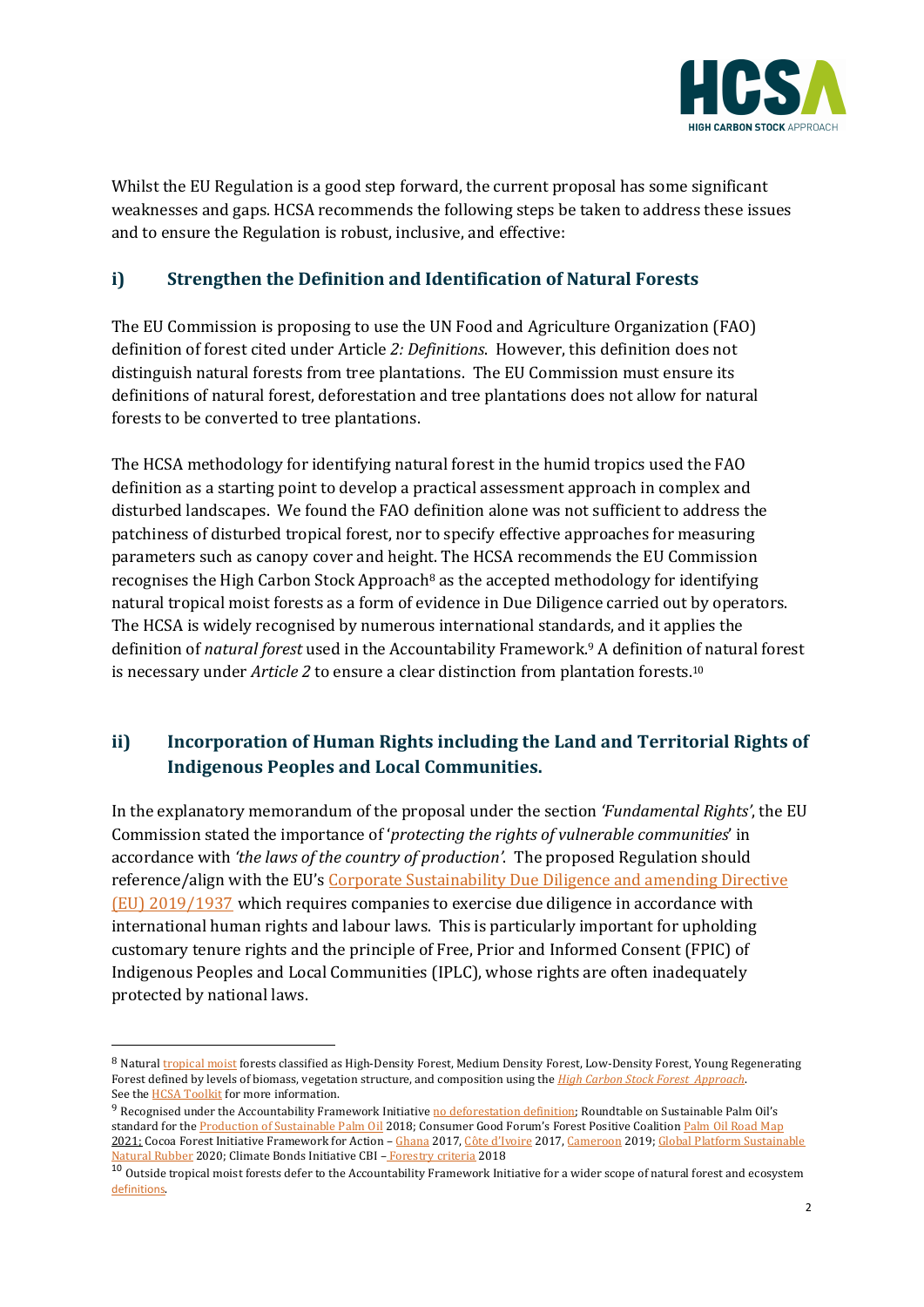

Whilst the EU Regulation is a good step forward, the current proposal has some significant weaknesses and gaps. HCSA recommends the following steps be taken to address these issues and to ensure the Regulation is robust, inclusive, and effective:

## **i)** Strengthen the Definition and Identification of Natural Forests

The EU Commission is proposing to use the UN Food and Agriculture Organization (FAO) definition of forest cited under Article 2: *Definitions*. However, this definition does not distinguish natural forests from tree plantations. The EU Commission must ensure its definitions of natural forest, deforestation and tree plantations does not allow for natural forests to be converted to tree plantations.

The HCSA methodology for identifying natural forest in the humid tropics used the FAO definition as a starting point to develop a practical assessment approach in complex and disturbed landscapes. We found the FAO definition alone was not sufficient to address the patchiness of disturbed tropical forest, nor to specify effective approaches for measuring parameters such as canopy cover and height. The HCSA recommends the EU Commission recognises the High Carbon Stock Approach<sup>8</sup> as the accepted methodology for identifying natural tropical moist forests as a form of evidence in Due Diligence carried out by operators. The HCSA is widely recognised by numerous international standards, and it applies the definition of *natural forest* used in the Accountability Framework.<sup>9</sup> A definition of natural forest is necessary under *Article* 2 to ensure a clear distinction from plantation forests.<sup>10</sup>

# ii) Incorporation of Human Rights including the Land and Territorial Rights of **Indigenous Peoples and Local Communities.**

In the explanatory memorandum of the proposal under the section *'Fundamental Rights'*, the EU Commission stated the importance of 'protecting the rights of vulnerable communities' in accordance with *'the laws of the country of production'*. The proposed Regulation should reference/align with the EU's Corporate Sustainability Due Diligence and amending Directive (EU) 2019/1937 which requires companies to exercise due diligence in accordance with international human rights and labour laws. This is particularly important for upholding customary tenure rights and the principle of Free, Prior and Informed Consent (FPIC) of Indigenous Peoples and Local Communities (IPLC), whose rights are often inadequately protected by national laws.

<sup>8</sup> Natural tropical moist forests classified as High-Density Forest, Medium Density Forest, Low-Density Forest, Young Regenerating Forest defined by levels of biomass, vegetation structure, and composition using the *High Carbon Stock Forest Approach*. See the **HCSA** Toolkit for more information.

 $9$  Recognised under the Accountability Framework Initiative no deforestation definition; Roundtable on Sustainable Palm Oil's standard for the Production of Sustainable Palm Oil 2018; Consumer Good Forum's Forest Positive Coalition Palm Oil Road Map 2021; Cocoa Forest Initiative Framework for Action - Ghana 2017, Côte d'Ivoire 2017, Cameroon 2019; Global Platform Sustainable Natural Rubber 2020; Climate Bonds Initiative CBI - Forestry criteria 2018

 $^{10}$  Outside tropical moist forests defer to the Accountability Framework Initiative for a wider scope of natural forest and ecosystem definitions.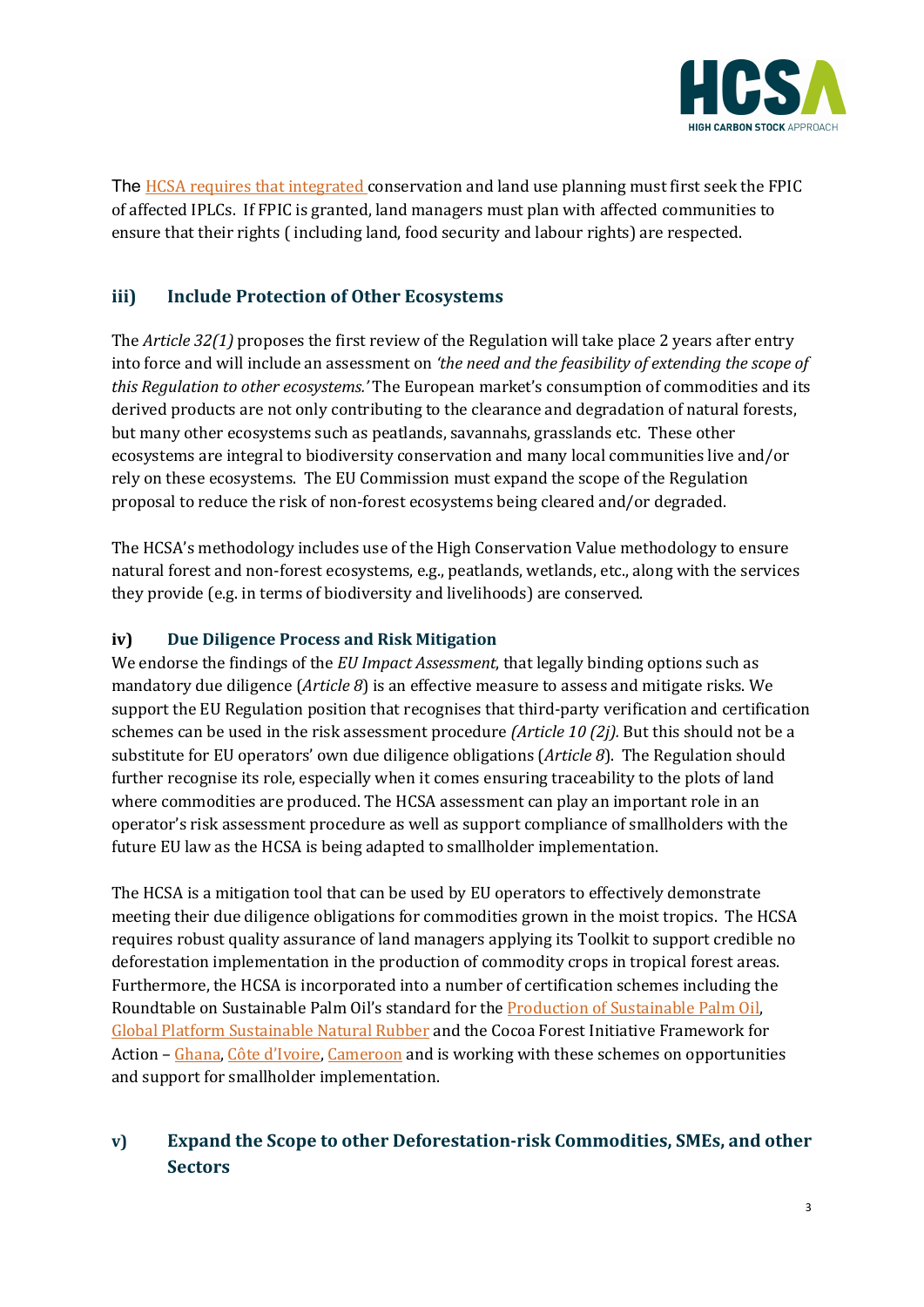

The HCSA requires that integrated conservation and land use planning must first seek the FPIC of affected IPLCs. If FPIC is granted, land managers must plan with affected communities to ensure that their rights (including land, food security and labour rights) are respected.

## **iii) Include Protection of Other Ecosystems**

The *Article* 32(1) proposes the first review of the Regulation will take place 2 years after entry into force and will include an assessment on 'the need and the feasibility of extending the scope of *this Regulation to other ecosystems.'* The European market's consumption of commodities and its derived products are not only contributing to the clearance and degradation of natural forests, but many other ecosystems such as peatlands, savannahs, grasslands etc. These other ecosystems are integral to biodiversity conservation and many local communities live and/or rely on these ecosystems. The EU Commission must expand the scope of the Regulation proposal to reduce the risk of non-forest ecosystems being cleared and/or degraded.

The HCSA's methodology includes use of the High Conservation Value methodology to ensure natural forest and non-forest ecosystems, e.g., peatlands, wetlands, etc., along with the services they provide (e.g. in terms of biodiversity and livelihoods) are conserved.

#### **iv)** Due Diligence Process and Risk Mitigation

We endorse the findings of the *EU Impact Assessment*, that legally binding options such as mandatory due diligence (Article 8) is an effective measure to assess and mitigate risks. We support the EU Regulation position that recognises that third-party verification and certification schemes can be used in the risk assessment procedure *(Article 10 (2j)*. But this should not be a substitute for EU operators' own due diligence obligations (Article 8). The Regulation should further recognise its role, especially when it comes ensuring traceability to the plots of land where commodities are produced. The HCSA assessment can play an important role in an operator's risk assessment procedure as well as support compliance of smallholders with the future EU law as the HCSA is being adapted to smallholder implementation.

The HCSA is a mitigation tool that can be used by EU operators to effectively demonstrate meeting their due diligence obligations for commodities grown in the moist tropics. The HCSA requires robust quality assurance of land managers applying its Toolkit to support credible no deforestation implementation in the production of commodity crops in tropical forest areas. Furthermore, the HCSA is incorporated into a number of certification schemes including the Roundtable on Sustainable Palm Oil's standard for the Production of Sustainable Palm Oil, Global Platform Sustainable Natural Rubber and the Cocoa Forest Initiative Framework for Action – Ghana, Côte d'Ivoire, Cameroon and is working with these schemes on opportunities and support for smallholder implementation.

# *v***) Expand the Scope to other Deforestation-risk Commodities, SMEs, and other Sectors**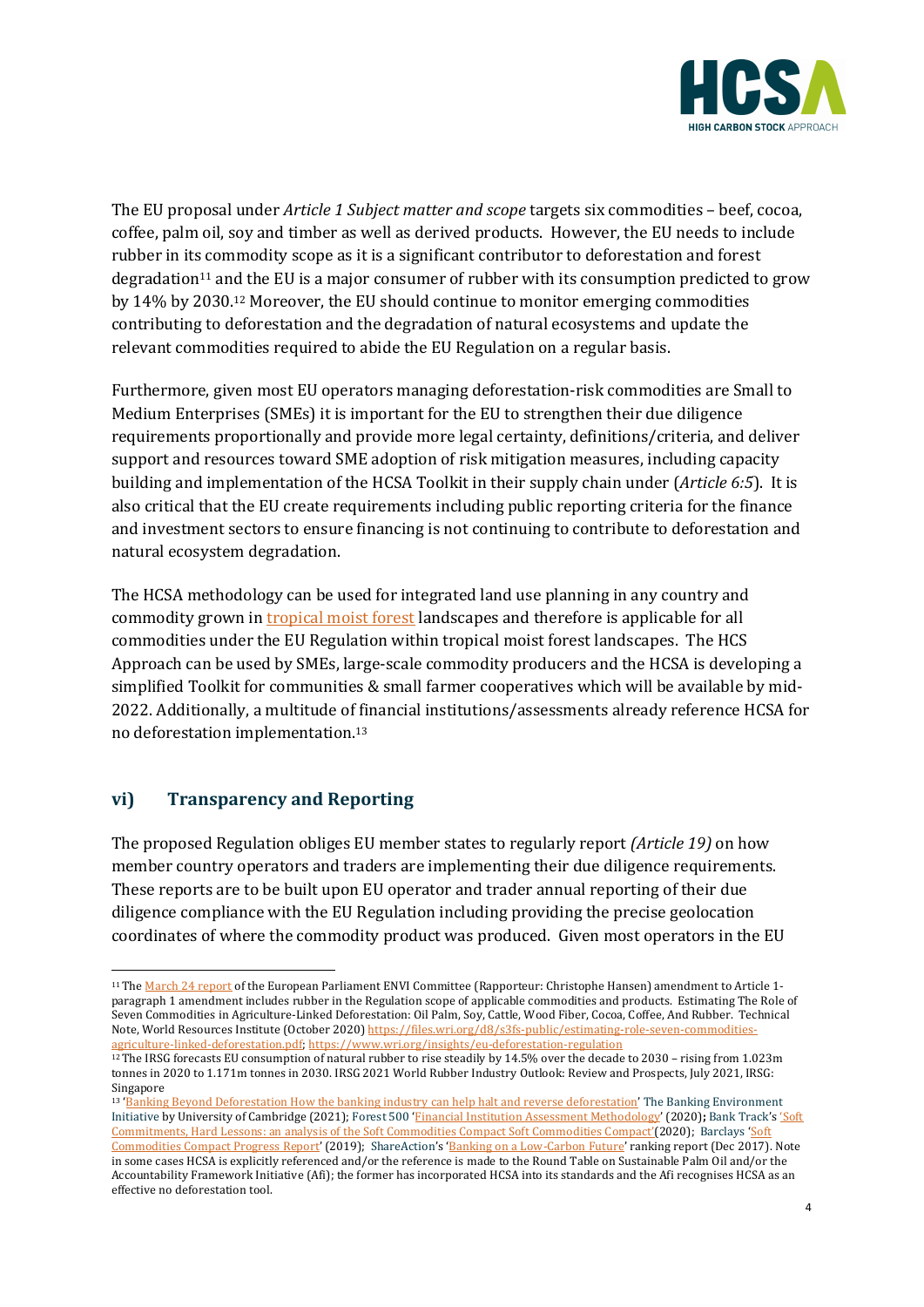

The EU proposal under *Article 1 Subject matter and scope* targets six commodities – beef, cocoa, coffee, palm oil, soy and timber as well as derived products. However, the EU needs to include rubber in its commodity scope as it is a significant contributor to deforestation and forest degradation<sup>11</sup> and the EU is a major consumer of rubber with its consumption predicted to grow by 14% by 2030.<sup>12</sup> Moreover, the EU should continue to monitor emerging commodities contributing to deforestation and the degradation of natural ecosystems and update the relevant commodities required to abide the EU Regulation on a regular basis.

Furthermore, given most EU operators managing deforestation-risk commodities are Small to Medium Enterprises (SMEs) it is important for the EU to strengthen their due diligence requirements proportionally and provide more legal certainty, definitions/criteria, and deliver support and resources toward SME adoption of risk mitigation measures, including capacity building and implementation of the HCSA Toolkit in their supply chain under (*Article 6:5*). It is also critical that the EU create requirements including public reporting criteria for the finance and investment sectors to ensure financing is not continuing to contribute to deforestation and natural ecosystem degradation.

The HCSA methodology can be used for integrated land use planning in any country and commodity grown in tropical moist forest landscapes and therefore is applicable for all commodities under the EU Regulation within tropical moist forest landscapes. The HCS Approach can be used by SMEs, large-scale commodity producers and the HCSA is developing a simplified Toolkit for communities & small farmer cooperatives which will be available by mid-2022. Additionally, a multitude of financial institutions/assessments already reference HCSA for no deforestation implementation.<sup>13</sup>

#### **vi) Transparency and Reporting**

The proposed Regulation obliges EU member states to regularly report *(Article 19)* on how member country operators and traders are implementing their due diligence requirements. These reports are to be built upon EU operator and trader annual reporting of their due diligence compliance with the EU Regulation including providing the precise geolocation coordinates of where the commodity product was produced. Given most operators in the EU

<sup>&</sup>lt;sup>11</sup> The March 24 report of the European Parliament ENVI Committee (Rapporteur: Christophe Hansen) amendment to Article 1paragraph 1 amendment includes rubber in the Regulation scope of applicable commodities and products. Estimating The Role of Seven Commodities in Agriculture-Linked Deforestation: Oil Palm, Soy, Cattle, Wood Fiber, Cocoa, Coffee, And Rubber. Technical Note, World Resources Institute (October 2020) https://files.wri.org/d8/s3fs-public/estimating-role-seven-commoditiesagriculture-linked-deforestation.pdf; https://www.wri.org/insights/eu-deforestation-regulation

 $12$  The IRSG forecasts EU consumption of natural rubber to rise steadily by 14.5% over the decade to 2030 – rising from 1.023m tonnes in 2020 to 1.171m tonnes in 2030. IRSG 2021 World Rubber Industry Outlook: Review and Prospects, July 2021, IRSG: Singapore

<sup>13 &#</sup>x27;Banking Beyond Deforestation How the banking industry can help halt and reverse deforestation' The Banking Environment Initiative by University of Cambridge (2021); Forest 500 'Financial Institution Assessment Methodology' (2020); Bank Track's 'Soft Commitments, Hard Lessons: an analysis of the Soft Commodities Compact Soft Commodities Compact'(2020); Barclays 'Soft Commodities Compact Progress Report' (2019); ShareAction's 'Banking on a Low-Carbon Future' ranking report (Dec 2017). Note in some cases HCSA is explicitly referenced and/or the reference is made to the Round Table on Sustainable Palm Oil and/or the Accountability Framework Initiative (Afi); the former has incorporated HCSA into its standards and the Afi recognises HCSA as an effective no deforestation tool.